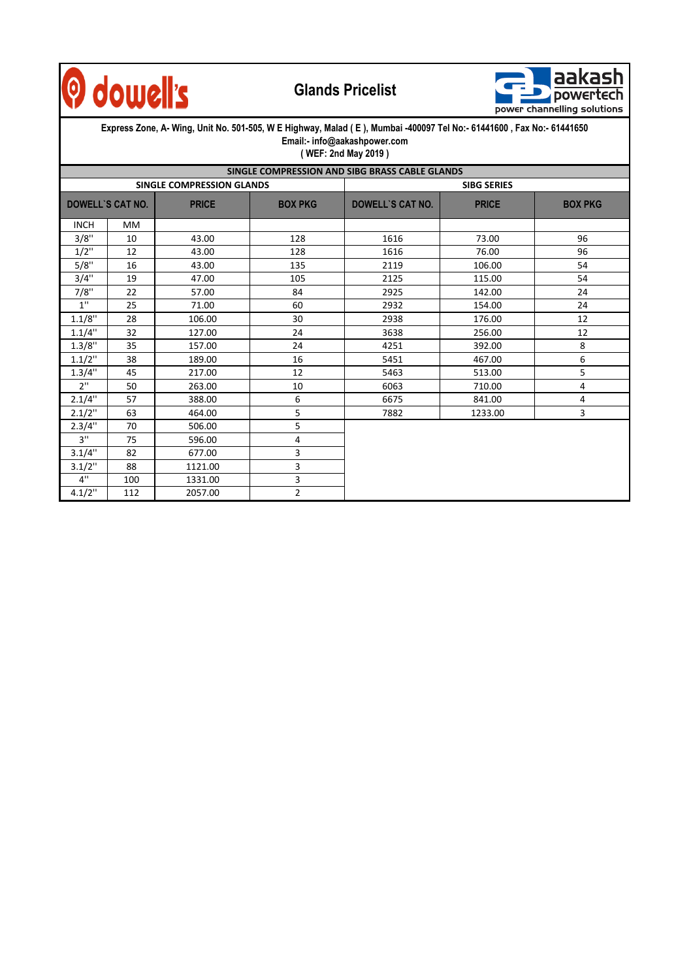

## **Glands Pricelist**



| Express Zone, A- Wing, Unit No. 501-505, W E Highway, Malad (E), Mumbai -400097 Tel No:- 61441600, Fax No:- 61441650<br>Email:- info@aakashpower.com<br>(WEF: 2nd May 2019) |                  |              |                |                                                |              |                |  |  |  |  |  |  |  |
|-----------------------------------------------------------------------------------------------------------------------------------------------------------------------------|------------------|--------------|----------------|------------------------------------------------|--------------|----------------|--|--|--|--|--|--|--|
|                                                                                                                                                                             |                  |              |                | SINGLE COMPRESSION AND SIBG BRASS CABLE GLANDS |              |                |  |  |  |  |  |  |  |
| <b>SINGLE COMPRESSION GLANDS</b>                                                                                                                                            |                  |              |                | <b>SIBG SERIES</b>                             |              |                |  |  |  |  |  |  |  |
|                                                                                                                                                                             | DOWELL'S CAT NO. | <b>PRICE</b> | <b>BOX PKG</b> | DOWELL'S CAT NO.                               | <b>PRICE</b> | <b>BOX PKG</b> |  |  |  |  |  |  |  |
| <b>INCH</b>                                                                                                                                                                 | <b>MM</b>        |              |                |                                                |              |                |  |  |  |  |  |  |  |
| 3/8"                                                                                                                                                                        | 10               | 43.00        | 128            | 1616                                           | 73.00        | 96             |  |  |  |  |  |  |  |
| $1/2$ "                                                                                                                                                                     | 12               | 43.00        | 128            | 1616                                           | 76.00        | 96             |  |  |  |  |  |  |  |
| 5/8"                                                                                                                                                                        | 16               | 43.00        | 135            | 2119                                           | 106.00       | 54             |  |  |  |  |  |  |  |
| 3/4"                                                                                                                                                                        | 19               | 47.00        | 105            | 2125                                           | 115.00       | 54             |  |  |  |  |  |  |  |
| 7/8"                                                                                                                                                                        | 22               | 57.00        | 84             | 2925                                           | 142.00       | 24             |  |  |  |  |  |  |  |
| 1"                                                                                                                                                                          | 25               | 71.00        | 60             | 2932                                           | 154.00       | 24             |  |  |  |  |  |  |  |
| 1.1/8"                                                                                                                                                                      | 28               | 106.00       | 30             | 2938                                           | 176.00       | 12             |  |  |  |  |  |  |  |
| 1.1/4"                                                                                                                                                                      | 32               | 127.00       | 24             | 3638                                           | 256.00       | 12             |  |  |  |  |  |  |  |
| 1.3/8"                                                                                                                                                                      | 35               | 157.00       | 24             | 4251                                           | 392.00       | 8              |  |  |  |  |  |  |  |
| $1.1/2$ "                                                                                                                                                                   | 38               | 189.00       | 16             | 5451                                           | 467.00       | 6              |  |  |  |  |  |  |  |
| 1.3/4"                                                                                                                                                                      | 45               | 217.00       | 12             | 5463                                           | 513.00       | 5              |  |  |  |  |  |  |  |
| 2"                                                                                                                                                                          | 50               | 263.00       | 10             | 6063                                           | 710.00       | 4              |  |  |  |  |  |  |  |
| 2.1/4"                                                                                                                                                                      | 57               | 388.00       | 6              | 6675                                           | 841.00       | 4              |  |  |  |  |  |  |  |
| 2.1/2"                                                                                                                                                                      | 63               | 464.00       | 5              | 7882                                           | 1233.00      | 3              |  |  |  |  |  |  |  |
| 2.3/4"                                                                                                                                                                      | 70               | 506.00       | 5              |                                                |              |                |  |  |  |  |  |  |  |
| 3"                                                                                                                                                                          | 75               | 596.00       | 4              |                                                |              |                |  |  |  |  |  |  |  |
| 3.1/4"                                                                                                                                                                      | 82               | 677.00       | 3              |                                                |              |                |  |  |  |  |  |  |  |
| $3.1/2$ "                                                                                                                                                                   | 88               | 1121.00      | 3              |                                                |              |                |  |  |  |  |  |  |  |
| 4"                                                                                                                                                                          | 100              | 1331.00      | 3              |                                                |              |                |  |  |  |  |  |  |  |
| 4.1/2"                                                                                                                                                                      | 112              | 2057.00      | $\overline{2}$ |                                                |              |                |  |  |  |  |  |  |  |